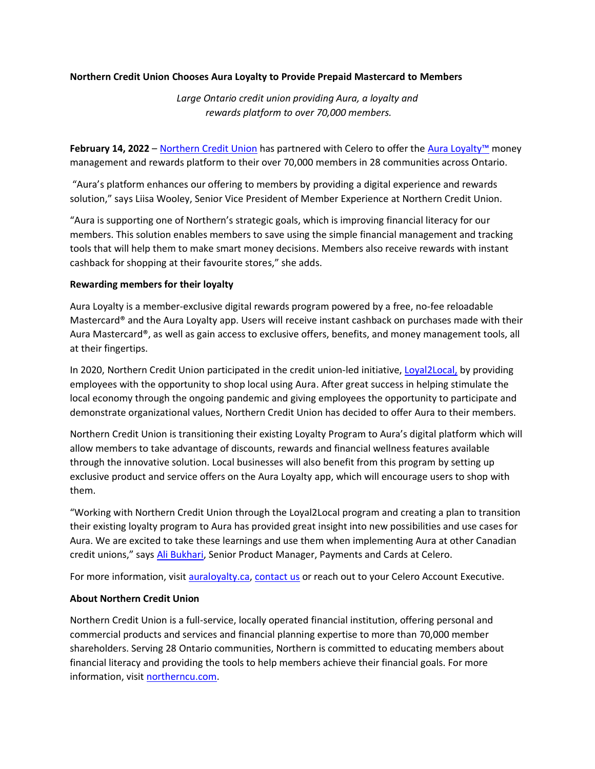## **Northern Credit Union Chooses Aura Loyalty to Provide Prepaid Mastercard to Members**

*Large Ontario credit union providing Aura, a loyalty and rewards platform to over 70,000 members.*

**February 14, 2022** – [Northern Credit Union](https://www.northerncu.com/personal/) has partnered with Celero to offer the Aura [Loyalty](https://www.auraloyalty.ca/)™ money management and rewards platform to their over 70,000 members in 28 communities across Ontario.

"Aura's platform enhances our offering to members by providing a digital experience and rewards solution," says Liisa Wooley, Senior Vice President of Member Experience at Northern Credit Union.

"Aura is supporting one of Northern's strategic goals, which is improving financial literacy for our members. This solution enables members to save using the simple financial management and tracking tools that will help them to make smart money decisions. Members also receive rewards with instant cashback for shopping at their favourite stores," she adds.

## **Rewarding members for their loyalty**

Aura Loyalty is a member-exclusive digital rewards program powered by a free, no-fee reloadable Mastercard® and the Aura Loyalty app. Users will receive instant cashback on purchases made with their Aura Mastercard®, as well as gain access to exclusive offers, benefits, and money management tools, all at their fingertips.

In 2020, Northern Credit Union participated in the credit union-led initiative, [Loyal2Local,](https://www.libro.ca/about/media-centre/libro-credit-union-launches-loyal-2-local-challenge) by providing employees with the opportunity to shop local using Aura. After great success in helping stimulate the local economy through the ongoing pandemic and giving employees the opportunity to participate and demonstrate organizational values, Northern Credit Union has decided to offer Aura to their members.

Northern Credit Union is transitioning their existing Loyalty Program to Aura's digital platform which will allow members to take advantage of discounts, rewards and financial wellness features available through the innovative solution. Local businesses will also benefit from this program by setting up exclusive product and service offers on the Aura Loyalty app, which will encourage users to shop with them.

"Working with Northern Credit Union through the Loyal2Local program and creating a plan to transition their existing loyalty program to Aura has provided great insight into new possibilities and use cases for Aura. We are excited to take these learnings and use them when implementing Aura at other Canadian credit unions," says [Ali Bukhari,](https://www.linkedin.com/in/ali-bukhari-16b29228/) Senior Product Manager, Payments and Cards at Celero.

For more information, visit [auraloyalty.ca,](https://www.auraloyalty.ca/) [contact us](https://celero.ca/contact-us/) or reach out to your Celero Account Executive.

## **About Northern Credit Union**

Northern Credit Union is a full-service, locally operated financial institution, offering personal and commercial products and services and financial planning expertise to more than 70,000 member shareholders. Serving 28 Ontario communities, Northern is committed to educating members about financial literacy and providing the tools to help members achieve their financial goals. For more information, visit [northerncu.com.](https://www.northerncu.com/)